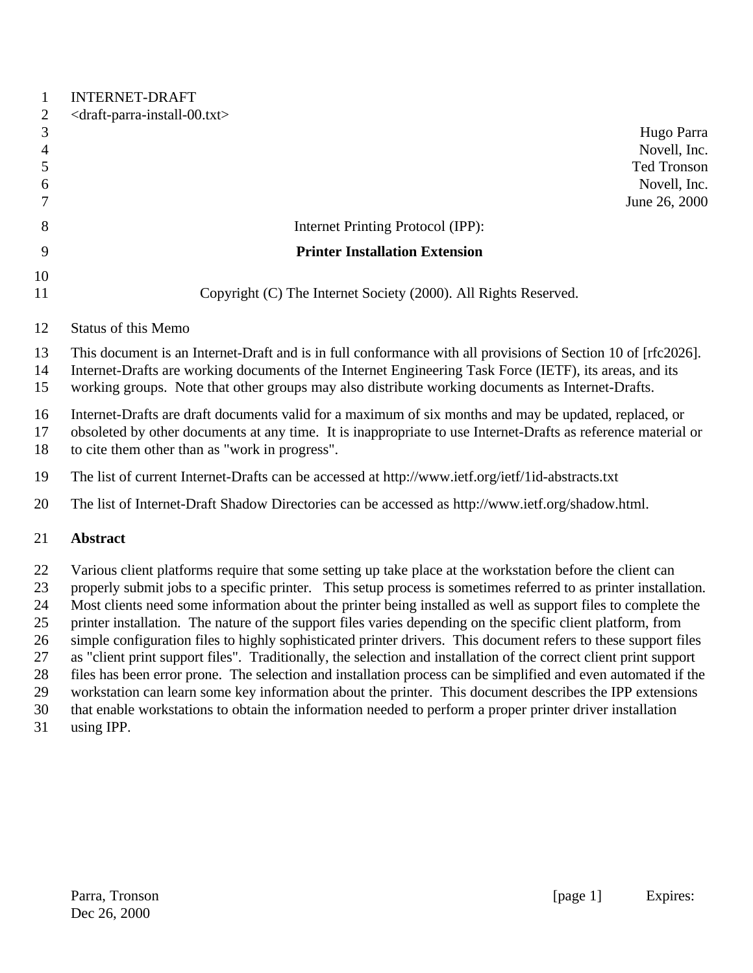| $\mathbf{1}$<br>$\overline{2}$ | <b>INTERNET-DRAFT</b><br><draft-parra-install-00.txt></draft-parra-install-00.txt>                                                                                                                                                                                                                                           |  |
|--------------------------------|------------------------------------------------------------------------------------------------------------------------------------------------------------------------------------------------------------------------------------------------------------------------------------------------------------------------------|--|
| $\mathfrak{Z}$                 | Hugo Parra                                                                                                                                                                                                                                                                                                                   |  |
| $\overline{4}$                 | Novell, Inc.                                                                                                                                                                                                                                                                                                                 |  |
| $\mathfrak{S}$<br>6            | Ted Tronson<br>Novell, Inc.                                                                                                                                                                                                                                                                                                  |  |
| $\overline{7}$                 | June 26, 2000                                                                                                                                                                                                                                                                                                                |  |
| 8                              | Internet Printing Protocol (IPP):                                                                                                                                                                                                                                                                                            |  |
| 9                              | <b>Printer Installation Extension</b>                                                                                                                                                                                                                                                                                        |  |
| 10                             |                                                                                                                                                                                                                                                                                                                              |  |
| 11                             | Copyright (C) The Internet Society (2000). All Rights Reserved.                                                                                                                                                                                                                                                              |  |
| 12                             | <b>Status of this Memo</b>                                                                                                                                                                                                                                                                                                   |  |
| 13<br>14<br>15                 | This document is an Internet-Draft and is in full conformance with all provisions of Section 10 of [rfc2026].<br>Internet-Drafts are working documents of the Internet Engineering Task Force (IETF), its areas, and its<br>working groups. Note that other groups may also distribute working documents as Internet-Drafts. |  |
| 16<br>17<br>18                 | Internet-Drafts are draft documents valid for a maximum of six months and may be updated, replaced, or<br>obsoleted by other documents at any time. It is inappropriate to use Internet-Drafts as reference material or<br>to cite them other than as "work in progress".                                                    |  |
| 19                             | The list of current Internet-Drafts can be accessed at http://www.ietf.org/ietf/1id-abstracts.txt                                                                                                                                                                                                                            |  |
| 20                             | The list of Internet-Draft Shadow Directories can be accessed as http://www.ietf.org/shadow.html.                                                                                                                                                                                                                            |  |
| 21                             | <b>Abstract</b>                                                                                                                                                                                                                                                                                                              |  |
| 22                             | Various client platforms require that some setting up take place at the workstation before the client can                                                                                                                                                                                                                    |  |
| 23                             | properly submit jobs to a specific printer. This setup process is sometimes referred to as printer installation.                                                                                                                                                                                                             |  |
| 24                             | Most clients need some information about the printer being installed as well as support files to complete the                                                                                                                                                                                                                |  |
| 25                             | printer installation. The nature of the support files varies depending on the specific client platform, from                                                                                                                                                                                                                 |  |
| 26<br>27                       | simple configuration files to highly sophisticated printer drivers. This document refers to these support files<br>as "client print support files". Traditionally, the selection and installation of the correct client print support                                                                                        |  |
| 28                             | files has been error prone. The selection and installation process can be simplified and even automated if the                                                                                                                                                                                                               |  |
| 29                             | workstation can learn some key information about the printer. This document describes the IPP extensions                                                                                                                                                                                                                     |  |
| 30                             | that enable workstations to obtain the information needed to perform a proper printer driver installation                                                                                                                                                                                                                    |  |

using IPP.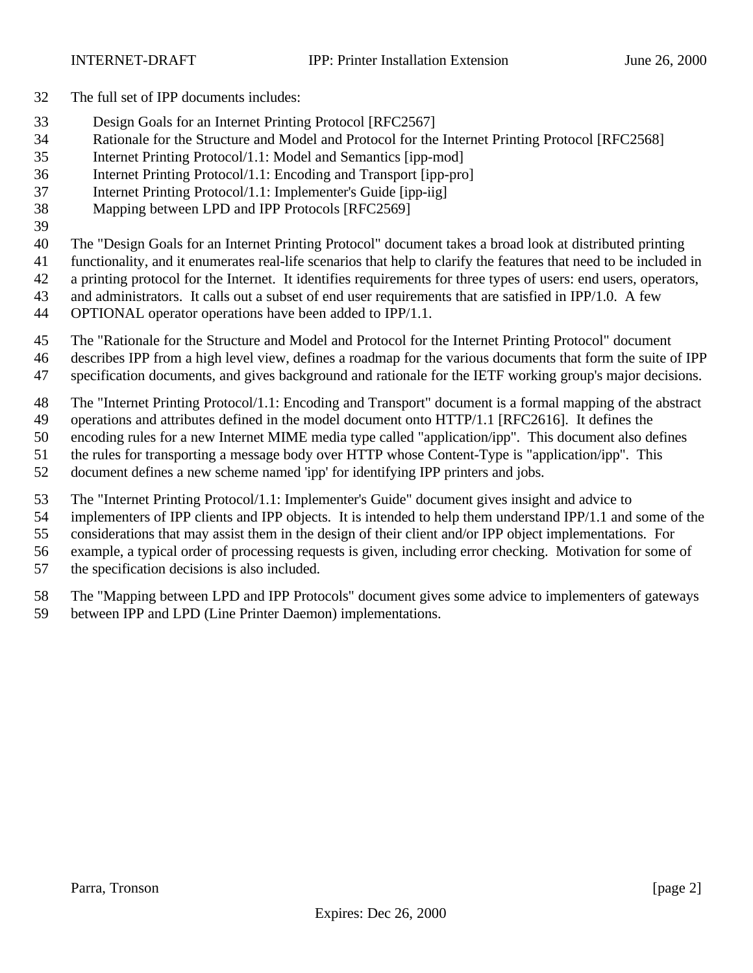- The full set of IPP documents includes:
- Design Goals for an Internet Printing Protocol [RFC2567]
- Rationale for the Structure and Model and Protocol for the Internet Printing Protocol [RFC2568]
- Internet Printing Protocol/1.1: Model and Semantics [ipp-mod]
- Internet Printing Protocol/1.1: Encoding and Transport [ipp-pro]
- Internet Printing Protocol/1.1: Implementer's Guide [ipp-iig]
- Mapping between LPD and IPP Protocols [RFC2569]
- 

The "Design Goals for an Internet Printing Protocol" document takes a broad look at distributed printing

- functionality, and it enumerates real-life scenarios that help to clarify the features that need to be included in
- a printing protocol for the Internet. It identifies requirements for three types of users: end users, operators,
- and administrators. It calls out a subset of end user requirements that are satisfied in IPP/1.0. A few
- OPTIONAL operator operations have been added to IPP/1.1.
- The "Rationale for the Structure and Model and Protocol for the Internet Printing Protocol" document
- describes IPP from a high level view, defines a roadmap for the various documents that form the suite of IPP
- specification documents, and gives background and rationale for the IETF working group's major decisions.
- The "Internet Printing Protocol/1.1: Encoding and Transport" document is a formal mapping of the abstract
- operations and attributes defined in the model document onto HTTP/1.1 [RFC2616]. It defines the
- encoding rules for a new Internet MIME media type called "application/ipp". This document also defines
- the rules for transporting a message body over HTTP whose Content-Type is "application/ipp". This
- document defines a new scheme named 'ipp' for identifying IPP printers and jobs.
- The "Internet Printing Protocol/1.1: Implementer's Guide" document gives insight and advice to
- implementers of IPP clients and IPP objects. It is intended to help them understand IPP/1.1 and some of the
- considerations that may assist them in the design of their client and/or IPP object implementations. For
- example, a typical order of processing requests is given, including error checking. Motivation for some of
- the specification decisions is also included.
- The "Mapping between LPD and IPP Protocols" document gives some advice to implementers of gateways between IPP and LPD (Line Printer Daemon) implementations.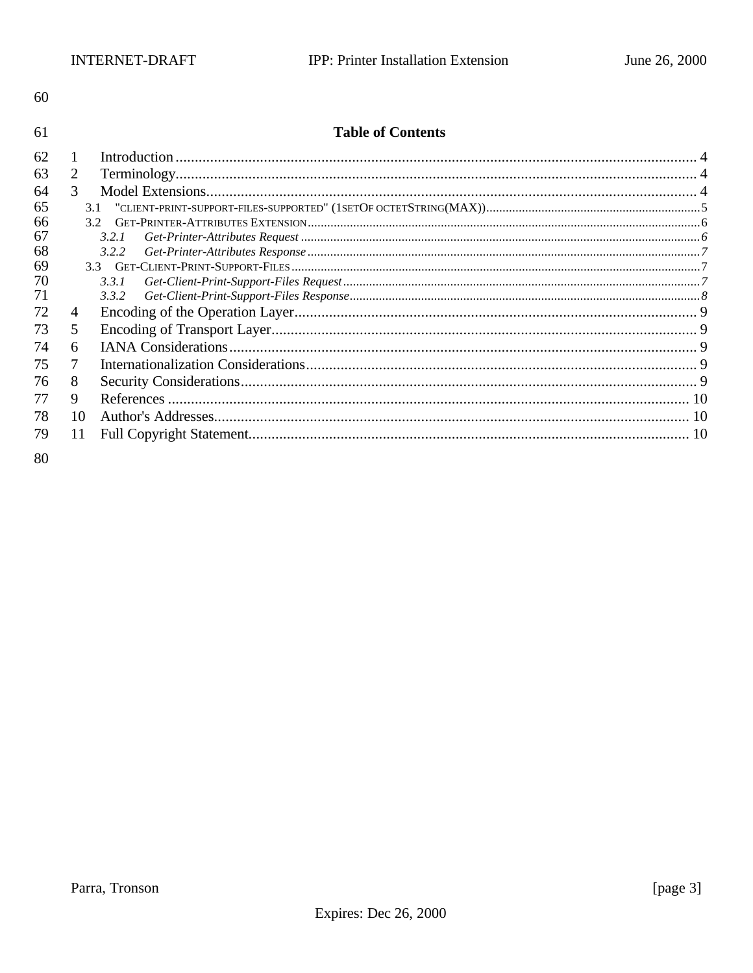61

#### **Table of Contents**

| 62 |     |                                                                     |  |
|----|-----|---------------------------------------------------------------------|--|
| 63 | 2   |                                                                     |  |
| 64 | 3   |                                                                     |  |
| 65 | 3.1 | $"CLIENT-PRINT-SUPPORT-FILES-SUPPORTED" (1SETOF OCTETSTRING(MAX))5$ |  |
| 66 |     |                                                                     |  |
| 67 |     | 3.2.1                                                               |  |
| 68 |     | 3.2.2                                                               |  |
| 69 |     |                                                                     |  |
| 70 |     | 3.3.1                                                               |  |
| 71 |     | 3.3.2                                                               |  |
| 72 | 4   |                                                                     |  |
| 73 | 5   |                                                                     |  |
| 74 | 6   |                                                                     |  |
| 75 |     |                                                                     |  |
| 76 | 8   |                                                                     |  |
| 77 | 9   |                                                                     |  |
| 78 | 10  |                                                                     |  |
| 79 | 11  |                                                                     |  |
|    |     |                                                                     |  |

80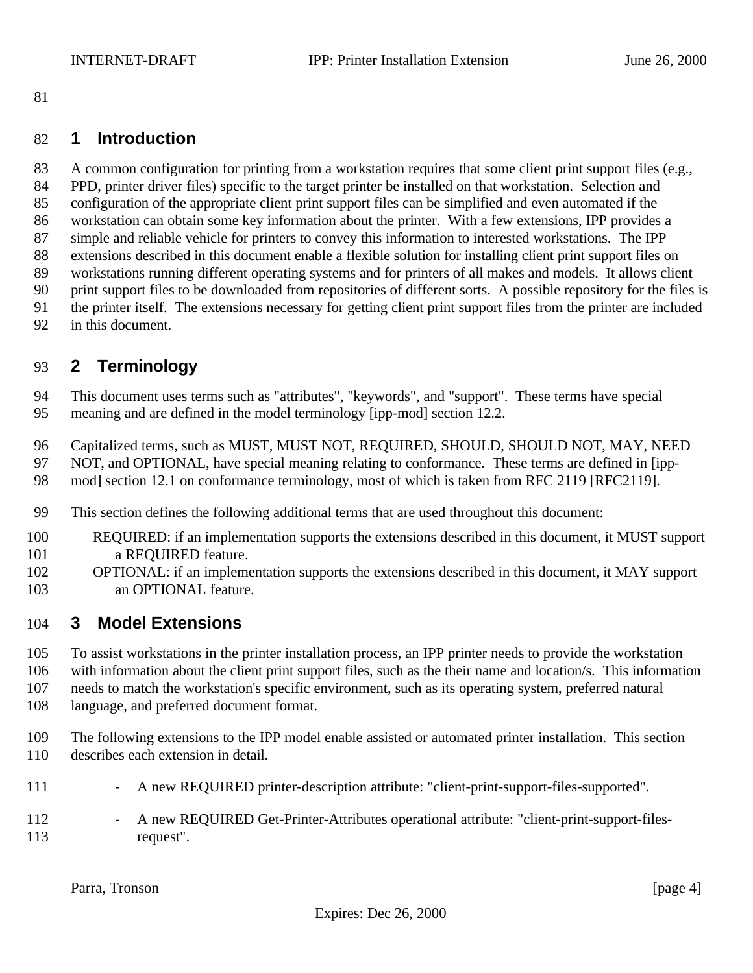### **1 Introduction**

 A common configuration for printing from a workstation requires that some client print support files (e.g., PPD, printer driver files) specific to the target printer be installed on that workstation. Selection and configuration of the appropriate client print support files can be simplified and even automated if the workstation can obtain some key information about the printer. With a few extensions, IPP provides a simple and reliable vehicle for printers to convey this information to interested workstations. The IPP extensions described in this document enable a flexible solution for installing client print support files on workstations running different operating systems and for printers of all makes and models. It allows client print support files to be downloaded from repositories of different sorts. A possible repository for the files is the printer itself. The extensions necessary for getting client print support files from the printer are included in this document.

# **2 Terminology**

 This document uses terms such as "attributes", "keywords", and "support". These terms have special meaning and are defined in the model terminology [ipp-mod] section 12.2.

Capitalized terms, such as MUST, MUST NOT, REQUIRED, SHOULD, SHOULD NOT, MAY, NEED

NOT, and OPTIONAL, have special meaning relating to conformance. These terms are defined in [ipp-

- mod] section 12.1 on conformance terminology, most of which is taken from RFC 2119 [RFC2119].
- This section defines the following additional terms that are used throughout this document:
- REQUIRED: if an implementation supports the extensions described in this document, it MUST support **a REQUIRED feature.**
- OPTIONAL: if an implementation supports the extensions described in this document, it MAY support an OPTIONAL feature.

# **3 Model Extensions**

To assist workstations in the printer installation process, an IPP printer needs to provide the workstation

with information about the client print support files, such as the their name and location/s. This information

needs to match the workstation's specific environment, such as its operating system, preferred natural

- language, and preferred document format.
- The following extensions to the IPP model enable assisted or automated printer installation. This section describes each extension in detail.
- 111 A new REQUIRED printer-description attribute: "client-print-support-files-supported".
- 112 A new REQUIRED Get-Printer-Attributes operational attribute: "client-print-support-files-request".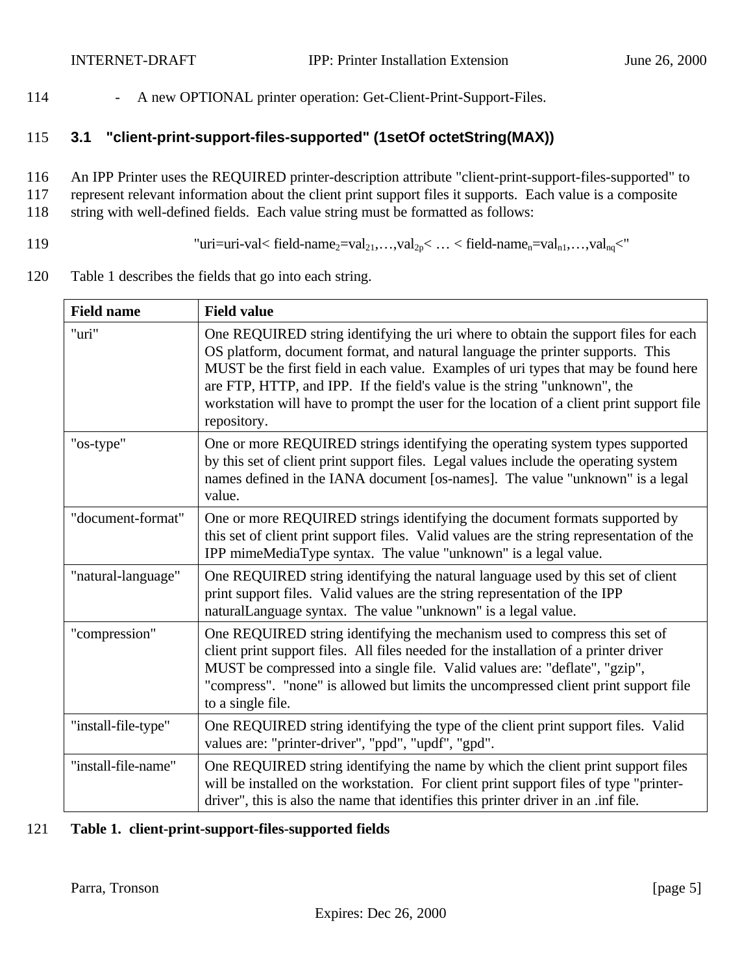114 - A new OPTIONAL printer operation: Get-Client-Print-Support-Files.

### 115 **3.1 "client-print-support-files-supported" (1setOf octetString(MAX))**

116 An IPP Printer uses the REQUIRED printer-description attribute "client-print-support-files-supported" to 117 represent relevant information about the client print support files it supports. Each value is a composite 118 string with well-defined fields. Each value string must be formatted as follows:

- 119 "uri=uri-val< field-name<sub>2</sub>=val<sub>21</sub>,...,val<sub>2p</sub> < ... < field-name<sub>n</sub>=val<sub>n1</sub>,...,val<sub>nq</sub> <"
- 120 Table 1 describes the fields that go into each string.

| <b>Field name</b>   | <b>Field value</b>                                                                                                                                                                                                                                                                                                                                                                                                                                 |
|---------------------|----------------------------------------------------------------------------------------------------------------------------------------------------------------------------------------------------------------------------------------------------------------------------------------------------------------------------------------------------------------------------------------------------------------------------------------------------|
| "uri"               | One REQUIRED string identifying the uri where to obtain the support files for each<br>OS platform, document format, and natural language the printer supports. This<br>MUST be the first field in each value. Examples of uri types that may be found here<br>are FTP, HTTP, and IPP. If the field's value is the string "unknown", the<br>workstation will have to prompt the user for the location of a client print support file<br>repository. |
| "os-type"           | One or more REQUIRED strings identifying the operating system types supported<br>by this set of client print support files. Legal values include the operating system<br>names defined in the IANA document [os-names]. The value "unknown" is a legal<br>value.                                                                                                                                                                                   |
| "document-format"   | One or more REQUIRED strings identifying the document formats supported by<br>this set of client print support files. Valid values are the string representation of the<br>IPP mimeMediaType syntax. The value "unknown" is a legal value.                                                                                                                                                                                                         |
| "natural-language"  | One REQUIRED string identifying the natural language used by this set of client<br>print support files. Valid values are the string representation of the IPP<br>naturalLanguage syntax. The value "unknown" is a legal value.                                                                                                                                                                                                                     |
| "compression"       | One REQUIRED string identifying the mechanism used to compress this set of<br>client print support files. All files needed for the installation of a printer driver<br>MUST be compressed into a single file. Valid values are: "deflate", "gzip",<br>"compress". "none" is allowed but limits the uncompressed client print support file<br>to a single file.                                                                                     |
| "install-file-type" | One REQUIRED string identifying the type of the client print support files. Valid<br>values are: "printer-driver", "ppd", "updf", "gpd".                                                                                                                                                                                                                                                                                                           |
| "install-file-name" | One REQUIRED string identifying the name by which the client print support files<br>will be installed on the workstation. For client print support files of type "printer-<br>driver", this is also the name that identifies this printer driver in an .inf file.                                                                                                                                                                                  |

#### 121 **Table 1. client-print-support-files-supported fields**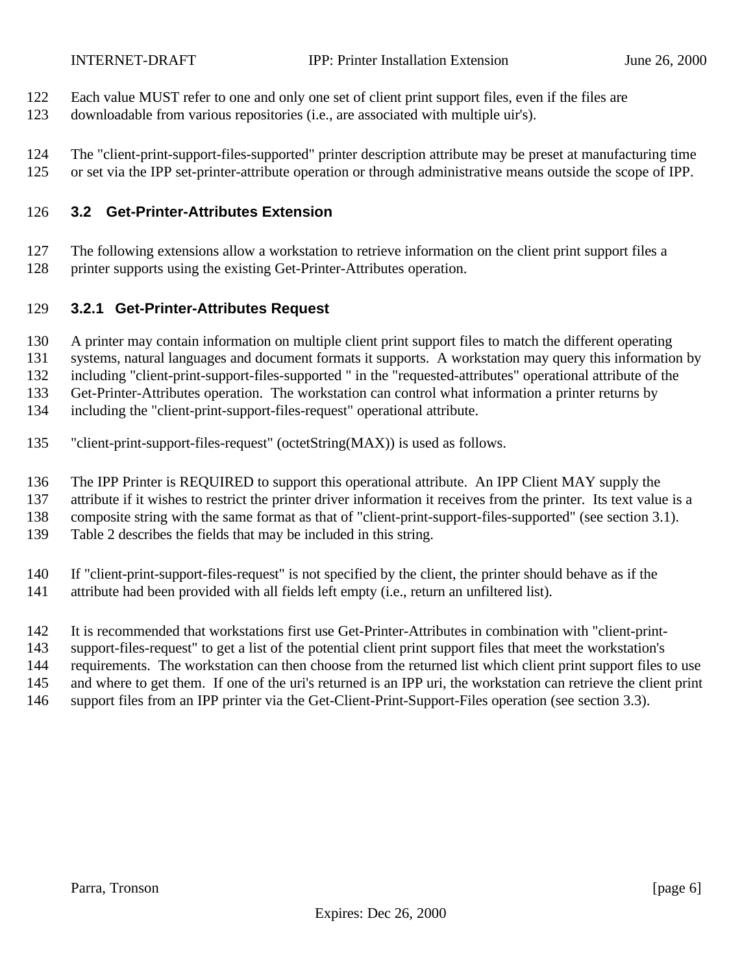- Each value MUST refer to one and only one set of client print support files, even if the files are
- downloadable from various repositories (i.e., are associated with multiple uir's).
- The "client-print-support-files-supported" printer description attribute may be preset at manufacturing time or set via the IPP set-printer-attribute operation or through administrative means outside the scope of IPP.

### **3.2 Get-Printer-Attributes Extension**

 The following extensions allow a workstation to retrieve information on the client print support files a printer supports using the existing Get-Printer-Attributes operation.

### **3.2.1 Get-Printer-Attributes Request**

- A printer may contain information on multiple client print support files to match the different operating
- systems, natural languages and document formats it supports. A workstation may query this information by

including "client-print-support-files-supported " in the "requested-attributes" operational attribute of the

Get-Printer-Attributes operation. The workstation can control what information a printer returns by

- including the "client-print-support-files-request" operational attribute.
- "client-print-support-files-request" (octetString(MAX)) is used as follows.
- The IPP Printer is REQUIRED to support this operational attribute. An IPP Client MAY supply the
- attribute if it wishes to restrict the printer driver information it receives from the printer. Its text value is a
- composite string with the same format as that of "client-print-support-files-supported" (see section 3.1).
- Table 2 describes the fields that may be included in this string.
- If "client-print-support-files-request" is not specified by the client, the printer should behave as if the
- 141 attribute had been provided with all fields left empty (i.e., return an unfiltered list).
- It is recommended that workstations first use Get-Printer-Attributes in combination with "client-print-
- support-files-request" to get a list of the potential client print support files that meet the workstation's
- requirements. The workstation can then choose from the returned list which client print support files to use
- and where to get them. If one of the uri's returned is an IPP uri, the workstation can retrieve the client print
- support files from an IPP printer via the Get-Client-Print-Support-Files operation (see section 3.3).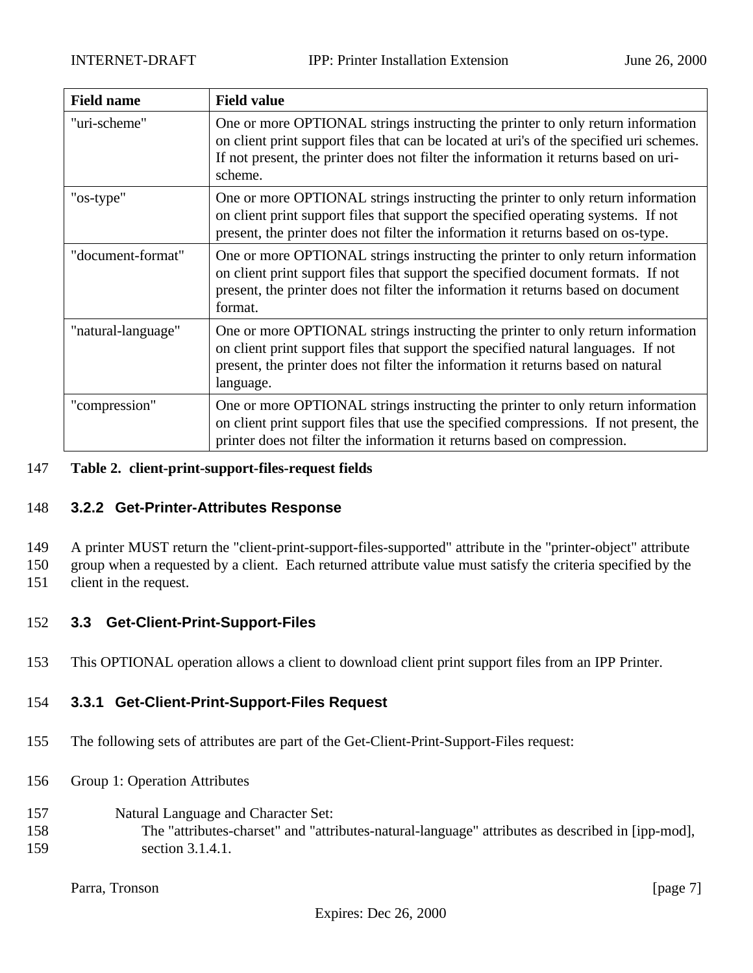| <b>Field name</b>  | <b>Field value</b>                                                                                                                                                                                                                                                             |
|--------------------|--------------------------------------------------------------------------------------------------------------------------------------------------------------------------------------------------------------------------------------------------------------------------------|
| "uri-scheme"       | One or more OPTIONAL strings instructing the printer to only return information<br>on client print support files that can be located at uri's of the specified uri schemes.<br>If not present, the printer does not filter the information it returns based on uri-<br>scheme. |
| "os-type"          | One or more OPTIONAL strings instructing the printer to only return information<br>on client print support files that support the specified operating systems. If not<br>present, the printer does not filter the information it returns based on os-type.                     |
| "document-format"  | One or more OPTIONAL strings instructing the printer to only return information<br>on client print support files that support the specified document formats. If not<br>present, the printer does not filter the information it returns based on document<br>format.           |
| "natural-language" | One or more OPTIONAL strings instructing the printer to only return information<br>on client print support files that support the specified natural languages. If not<br>present, the printer does not filter the information it returns based on natural<br>language.         |
| "compression"      | One or more OPTIONAL strings instructing the printer to only return information<br>on client print support files that use the specified compressions. If not present, the<br>printer does not filter the information it returns based on compression.                          |

#### 147 **Table 2. client-print-support-files-request fields**

#### 148 **3.2.2 Get-Printer-Attributes Response**

149 A printer MUST return the "client-print-support-files-supported" attribute in the "printer-object" attribute

150 group when a requested by a client. Each returned attribute value must satisfy the criteria specified by the

151 client in the request.

#### 152 **3.3 Get-Client-Print-Support-Files**

153 This OPTIONAL operation allows a client to download client print support files from an IPP Printer.

#### 154 **3.3.1 Get-Client-Print-Support-Files Request**

- 155 The following sets of attributes are part of the Get-Client-Print-Support-Files request:
- 156 Group 1: Operation Attributes
- 157 Natural Language and Character Set: 158 The "attributes-charset" and "attributes-natural-language" attributes as described in [ipp-mod], 159 section 3.1.4.1.

Parra, Tronson [page 7]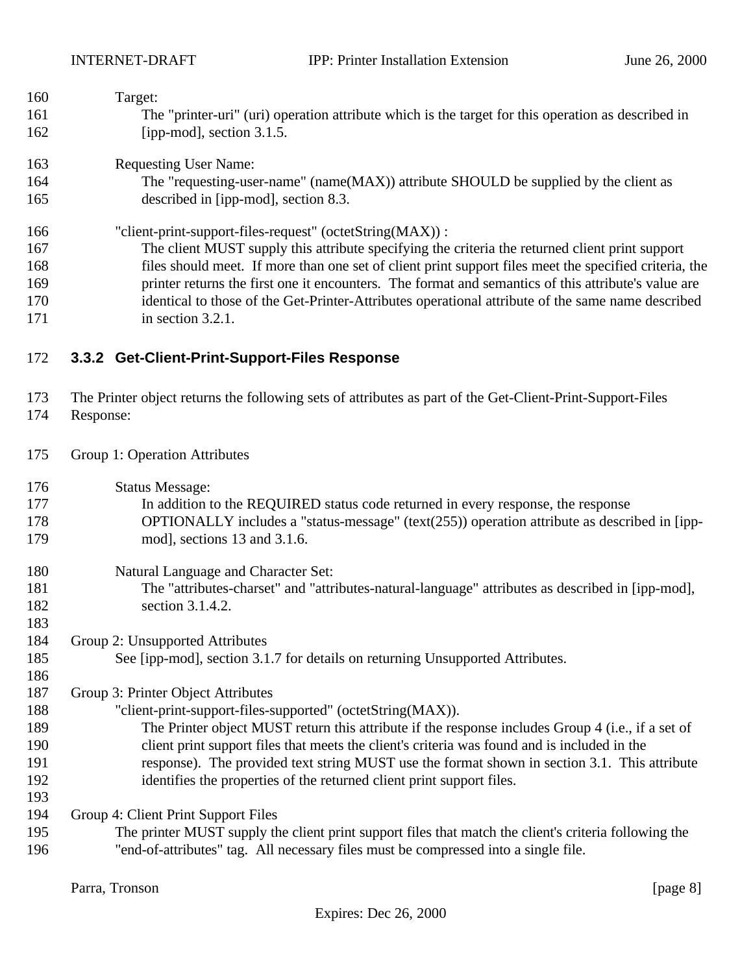| The "printer-uri" (uri) operation attribute which is the target for this operation as described in     |
|--------------------------------------------------------------------------------------------------------|
|                                                                                                        |
|                                                                                                        |
| The "requesting-user-name" (name(MAX)) attribute SHOULD be supplied by the client as                   |
|                                                                                                        |
|                                                                                                        |
| The client MUST supply this attribute specifying the criteria the returned client print support        |
| files should meet. If more than one set of client print support files meet the specified criteria, the |
| printer returns the first one it encounters. The format and semantics of this attribute's value are    |
| identical to those of the Get-Printer-Attributes operational attribute of the same name described      |
|                                                                                                        |
|                                                                                                        |
|                                                                                                        |

### **3.3.2 Get-Client-Print-Support-Files Response**

 The Printer object returns the following sets of attributes as part of the Get-Client-Print-Support-Files Response:

- Group 1: Operation Attributes
- Status Message:
- In addition to the REQUIRED status code returned in every response, the response OPTIONALLY includes a "status-message" (text(255)) operation attribute as described in [ipp-mod], sections 13 and 3.1.6.
- Natural Language and Character Set: The "attributes-charset" and "attributes-natural-language" attributes as described in [ipp-mod], 182 section 3.1.4.2.
- Group 2: Unsupported Attributes

See [ipp-mod], section 3.1.7 for details on returning Unsupported Attributes.

Group 3: Printer Object Attributes

- "client-print-support-files-supported" (octetString(MAX)).
- The Printer object MUST return this attribute if the response includes Group 4 (i.e., if a set of client print support files that meets the client's criteria was found and is included in the response). The provided text string MUST use the format shown in section 3.1. This attribute identifies the properties of the returned client print support files.

Group 4: Client Print Support Files

 The printer MUST supply the client print support files that match the client's criteria following the "end-of-attributes" tag. All necessary files must be compressed into a single file.

Parra, Tronson [page 8]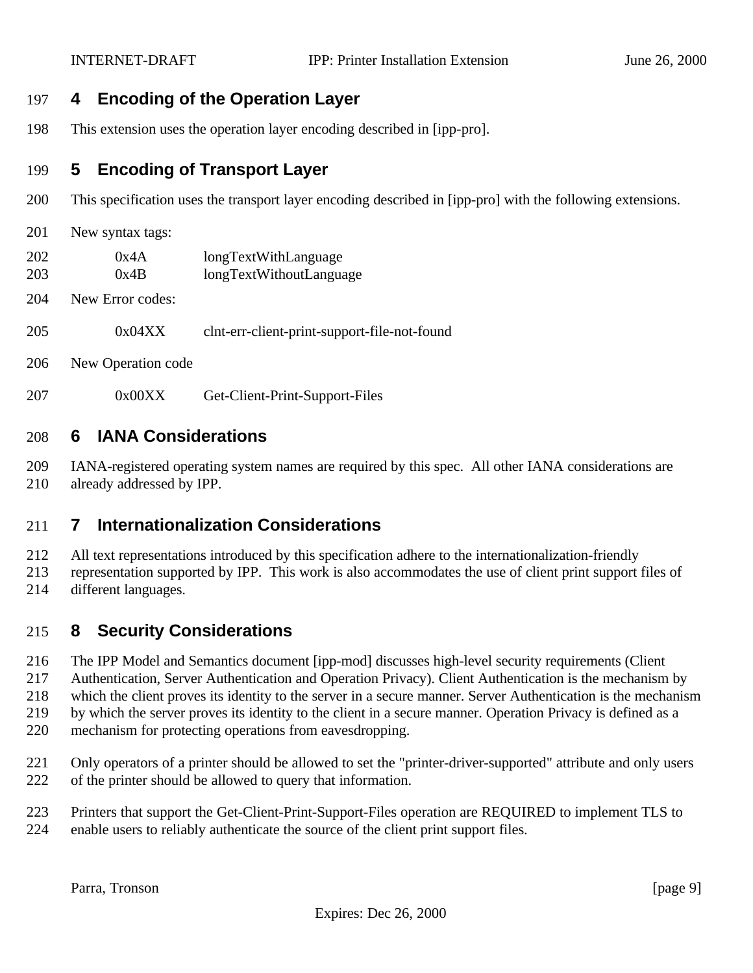### **4 Encoding of the Operation Layer**

This extension uses the operation layer encoding described in [ipp-pro].

## **5 Encoding of Transport Layer**

- This specification uses the transport layer encoding described in [ipp-pro] with the following extensions.
- New syntax tags:
- 0x4A longTextWithLanguage
- 0x4B longTextWithoutLanguage
- New Error codes:
- 0x04XX clnt-err-client-print-support-file-not-found
- New Operation code
- 0x00XX Get-Client-Print-Support-Files

## **6 IANA Considerations**

 IANA-registered operating system names are required by this spec. All other IANA considerations are already addressed by IPP.

### **7 Internationalization Considerations**

 All text representations introduced by this specification adhere to the internationalization-friendly representation supported by IPP. This work is also accommodates the use of client print support files of different languages.

# **8 Security Considerations**

The IPP Model and Semantics document [ipp-mod] discusses high-level security requirements (Client

Authentication, Server Authentication and Operation Privacy). Client Authentication is the mechanism by

which the client proves its identity to the server in a secure manner. Server Authentication is the mechanism

- by which the server proves its identity to the client in a secure manner. Operation Privacy is defined as a
- mechanism for protecting operations from eavesdropping.
- Only operators of a printer should be allowed to set the "printer-driver-supported" attribute and only users of the printer should be allowed to query that information.
- Printers that support the Get-Client-Print-Support-Files operation are REQUIRED to implement TLS to
- enable users to reliably authenticate the source of the client print support files.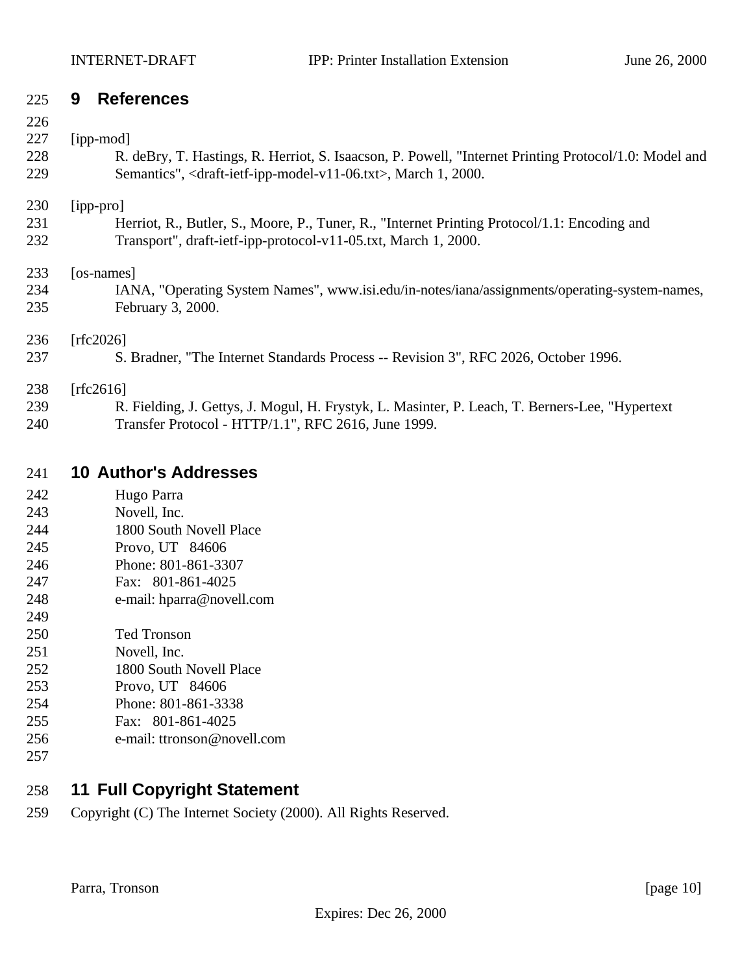### **9 References**

#### 227 [ipp-mod]

| – – 1      | TIDD IIIOUT                                                                                                             |
|------------|-------------------------------------------------------------------------------------------------------------------------|
| 228        | R. deBry, T. Hastings, R. Herriot, S. Isaacson, P. Powell, "Internet Printing Protocol/1.0: Model and                   |
| 229        | Semantics", <draft-ietf-ipp-model-v11-06.txt>, March 1, 2000.</draft-ietf-ipp-model-v11-06.txt>                         |
| 230<br>231 | $\vert$ ipp-pro $\vert$<br>Herriot, R., Butler, S., Moore, P., Tuner, R., "Internet Printing Protocol/1.1: Encoding and |
| 232        | Transport", draft-ietf-ipp-protocol-v11-05.txt, March 1, 2000.                                                          |

[os-names]

 IANA, "Operating System Names", www.isi.edu/in-notes/iana/assignments/operating-system-names, February 3, 2000.

### [rfc2026]

S. Bradner, "The Internet Standards Process -- Revision 3", RFC 2026, October 1996.

#### [rfc2616]

 R. Fielding, J. Gettys, J. Mogul, H. Frystyk, L. Masinter, P. Leach, T. Berners-Lee, "Hypertext Transfer Protocol - HTTP/1.1", RFC 2616, June 1999.

## **10 Author's Addresses**

| 242 | Hugo Parra |
|-----|------------|
|     |            |

- Novell, Inc. 1800 South Novell Place
- Provo, UT 84606
- Phone: 801-861-3307
- Fax: 801-861-4025
- e-mail: hparra@novell.com
- 
- Ted Tronson
- Novell, Inc.
- 1800 South Novell Place
- Provo, UT 84606
- Phone: 801-861-3338
- Fax: 801-861-4025
- e-mail: ttronson@novell.com
- 

# **11 Full Copyright Statement**

Copyright (C) The Internet Society (2000). All Rights Reserved.